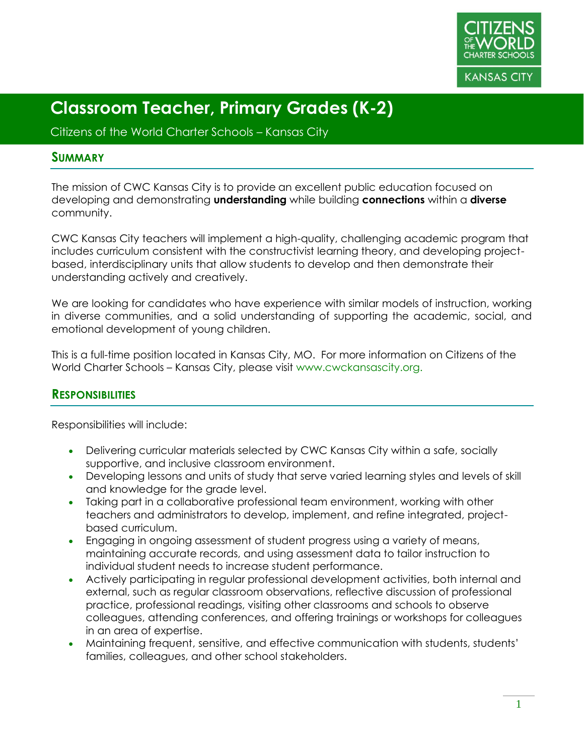

Citizens of the World Charter Schools – Kansas City

#### **SUMMARY**

The mission of CWC Kansas City is to provide an excellent public education focused on developing and demonstrating **understanding** while building **connections** within a **diverse** community.

CWC Kansas City teachers will implement a high-quality, challenging academic program that includes curriculum consistent with the constructivist learning theory, and developing projectbased, interdisciplinary units that allow students to develop and then demonstrate their understanding actively and creatively.

We are looking for candidates who have experience with similar models of instruction, working in diverse communities, and a solid understanding of supporting the academic, social, and emotional development of young children.

This is a full-time position located in Kansas City, MO. For more information on Citizens of the World Charter Schools – Kansas City, please visit www.cwckansascity.org.

#### **RESPONSIBILITIES**

Responsibilities will include:

- Delivering curricular materials selected by CWC Kansas City within a safe, socially supportive, and inclusive classroom environment.
- Developing lessons and units of study that serve varied learning styles and levels of skill and knowledge for the grade level.
- Taking part in a collaborative professional team environment, working with other teachers and administrators to develop, implement, and refine integrated, projectbased curriculum.
- Engaging in ongoing assessment of student progress using a variety of means, maintaining accurate records, and using assessment data to tailor instruction to individual student needs to increase student performance.
- Actively participating in regular professional development activities, both internal and external, such as regular classroom observations, reflective discussion of professional practice, professional readings, visiting other classrooms and schools to observe colleagues, attending conferences, and offering trainings or workshops for colleagues in an area of expertise.
- Maintaining frequent, sensitive, and effective communication with students, students' families, colleagues, and other school stakeholders.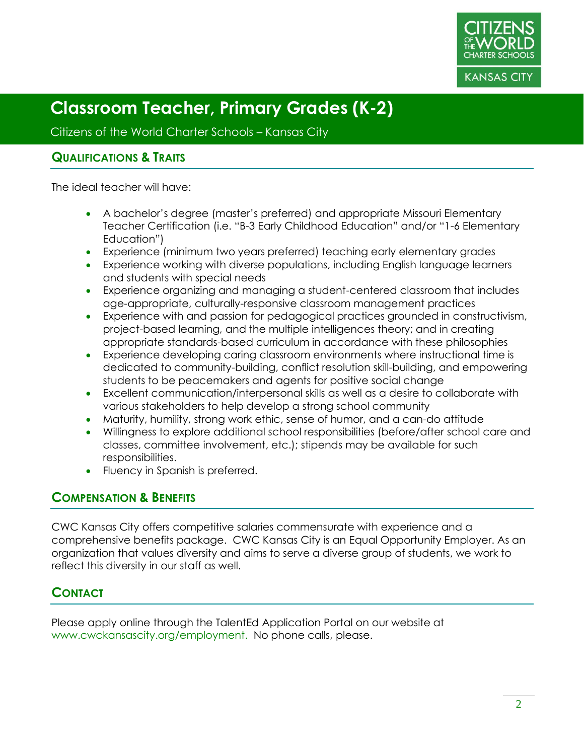

Citizens of the World Charter Schools – Kansas City

#### **QUALIFICATIONS & TRAITS**

The ideal teacher will have:

- A bachelor's degree (master's preferred) and appropriate Missouri Elementary Teacher Certification (i.e. "B-3 Early Childhood Education" and/or "1-6 Elementary Education")
- Experience (minimum two years preferred) teaching early elementary grades
- Experience working with diverse populations, including English language learners and students with special needs
- Experience organizing and managing a student-centered classroom that includes age-appropriate, culturally-responsive classroom management practices
- Experience with and passion for pedagogical practices grounded in constructivism, project-based learning, and the multiple intelligences theory; and in creating appropriate standards-based curriculum in accordance with these philosophies
- Experience developing caring classroom environments where instructional time is dedicated to community-building, conflict resolution skill-building, and empowering students to be peacemakers and agents for positive social change
- Excellent communication/interpersonal skills as well as a desire to collaborate with various stakeholders to help develop a strong school community
- Maturity, humility, strong work ethic, sense of humor, and a can-do attitude
- Willingness to explore additional school responsibilities (before/after school care and classes, committee involvement, etc.); stipends may be available for such responsibilities.
- Fluency in Spanish is preferred.

## **COMPENSATION & BENEFITS**

CWC Kansas City offers competitive salaries commensurate with experience and a comprehensive benefits package. CWC Kansas City is an Equal Opportunity Employer. As an organization that values diversity and aims to serve a diverse group of students, we work to reflect this diversity in our staff as well.

## **CONTACT**

Please apply online through the TalentEd Application Portal on our website at www.cwckansascity.org/employment. No phone calls, please.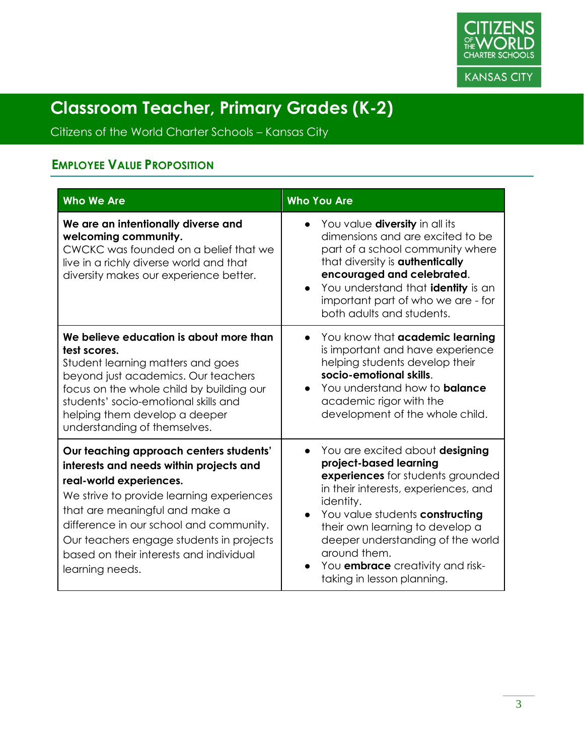

Citizens of the World Charter Schools – Kansas City

## **EMPLOYEE VALUE PROPOSITION**

| <b>Who We Are</b>                                                                                                                                                                                                                                                                                                                                 | <b>Who You Are</b>                                                                                                                                                                                                                                                                                                                                                                |
|---------------------------------------------------------------------------------------------------------------------------------------------------------------------------------------------------------------------------------------------------------------------------------------------------------------------------------------------------|-----------------------------------------------------------------------------------------------------------------------------------------------------------------------------------------------------------------------------------------------------------------------------------------------------------------------------------------------------------------------------------|
| We are an intentionally diverse and<br>welcoming community.<br>CWCKC was founded on a belief that we<br>live in a richly diverse world and that<br>diversity makes our experience better.                                                                                                                                                         | • You value diversity in all its<br>dimensions and are excited to be<br>part of a school community where<br>that diversity is <b>authentically</b><br>encouraged and celebrated.<br>You understand that identity is an<br>important part of who we are - for<br>both adults and students.                                                                                         |
| We believe education is about more than<br>test scores.<br>Student learning matters and goes<br>beyond just academics. Our teachers<br>focus on the whole child by building our<br>students' socio-emotional skills and<br>helping them develop a deeper<br>understanding of themselves.                                                          | You know that academic learning<br>is important and have experience<br>helping students develop their<br>socio-emotional skills.<br>You understand how to <b>balance</b><br>$\bullet$<br>academic rigor with the<br>development of the whole child.                                                                                                                               |
| Our teaching approach centers students'<br>interests and needs within projects and<br>real-world experiences.<br>We strive to provide learning experiences<br>that are meaningful and make a<br>difference in our school and community.<br>Our teachers engage students in projects<br>based on their interests and individual<br>learning needs. | You are excited about designing<br>$\bullet$<br>project-based learning<br>experiences for students grounded<br>in their interests, experiences, and<br>identity.<br>You value students constructing<br>$\bullet$<br>their own learning to develop a<br>deeper understanding of the world<br>around them.<br>You <b>embrace</b> creativity and risk-<br>taking in lesson planning. |